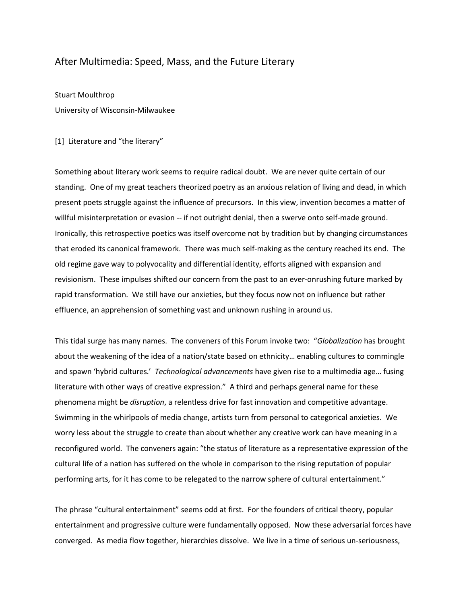# After Multimedia: Speed, Mass, and the Future Literary

Stuart Moulthrop University of Wisconsin-Milwaukee

### [1] Literature and "the literary"

Something about literary work seems to require radical doubt. We are never quite certain of our standing. One of my great teachers theorized poetry as an anxious relation of living and dead, in which present poets struggle against the influence of precursors. In this view, invention becomes a matter of willful misinterpretation or evasion -- if not outright denial, then a swerve onto self-made ground. Ironically, this retrospective poetics was itself overcome not by tradition but by changing circumstances that eroded its canonical framework. There was much self-making as the century reached its end. The old regime gave way to polyvocality and differential identity, efforts aligned with expansion and revisionism. These impulses shifted our concern from the past to an ever-onrushing future marked by rapid transformation. We still have our anxieties, but they focus now not on influence but rather effluence, an apprehension of something vast and unknown rushing in around us.

This tidal surge has many names. The conveners of this Forum invoke two: "*Globalization* has brought about the weakening of the idea of a nation/state based on ethnicity… enabling cultures to commingle and spawn 'hybrid cultures.' *Technological advancements* have given rise to a multimedia age… fusing literature with other ways of creative expression." A third and perhaps general name for these phenomena might be *disruption*, a relentless drive for fast innovation and competitive advantage. Swimming in the whirlpools of media change, artists turn from personal to categorical anxieties. We worry less about the struggle to create than about whether any creative work can have meaning in a reconfigured world. The conveners again: "the status of literature as a representative expression of the cultural life of a nation has suffered on the whole in comparison to the rising reputation of popular performing arts, for it has come to be relegated to the narrow sphere of cultural entertainment."

The phrase "cultural entertainment" seems odd at first. For the founders of critical theory, popular entertainment and progressive culture were fundamentally opposed. Now these adversarial forces have converged. As media flow together, hierarchies dissolve. We live in a time of serious un-seriousness,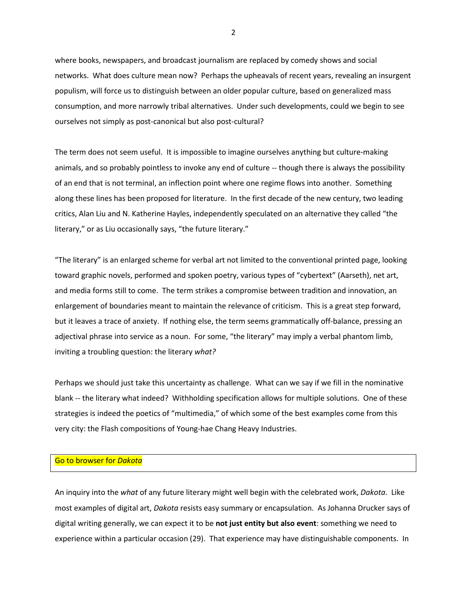where books, newspapers, and broadcast journalism are replaced by comedy shows and social networks. What does culture mean now? Perhaps the upheavals of recent years, revealing an insurgent populism, will force us to distinguish between an older popular culture, based on generalized mass consumption, and more narrowly tribal alternatives. Under such developments, could we begin to see ourselves not simply as post-canonical but also post-cultural?

The term does not seem useful. It is impossible to imagine ourselves anything but culture-making animals, and so probably pointless to invoke any end of culture -- though there is always the possibility of an end that is not terminal, an inflection point where one regime flows into another. Something along these lines has been proposed for literature. In the first decade of the new century, two leading critics, Alan Liu and N. Katherine Hayles, independently speculated on an alternative they called "the literary," or as Liu occasionally says, "the future literary."

"The literary" is an enlarged scheme for verbal art not limited to the conventional printed page, looking toward graphic novels, performed and spoken poetry, various types of "cybertext" (Aarseth), net art, and media forms still to come. The term strikes a compromise between tradition and innovation, an enlargement of boundaries meant to maintain the relevance of criticism. This is a great step forward, but it leaves a trace of anxiety. If nothing else, the term seems grammatically off-balance, pressing an adjectival phrase into service as a noun. For some, "the literary" may imply a verbal phantom limb, inviting a troubling question: the literary *what?*

Perhaps we should just take this uncertainty as challenge. What can we say if we fill in the nominative blank -- the literary what indeed? Withholding specification allows for multiple solutions. One of these strategies is indeed the poetics of "multimedia," of which some of the best examples come from this very city: the Flash compositions of Young-hae Chang Heavy Industries.

#### Go to browser for *Dakota*

An inquiry into the *what* of any future literary might well begin with the celebrated work, *Dakota*. Like most examples of digital art, *Dakota* resists easy summary or encapsulation. As Johanna Drucker says of digital writing generally, we can expect it to be **not just entity but also event**: something we need to experience within a particular occasion (29). That experience may have distinguishable components. In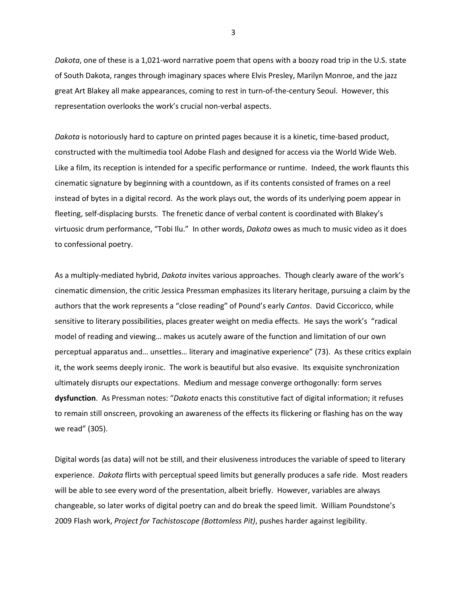*Dakota*, one of these is a 1,021-word narrative poem that opens with a boozy road trip in the U.S. state of South Dakota, ranges through imaginary spaces where Elvis Presley, Marilyn Monroe, and the jazz great Art Blakey all make appearances, coming to rest in turn-of-the-century Seoul. However, this representation overlooks the work's crucial non-verbal aspects.

*Dakota* is notoriously hard to capture on printed pages because it is a kinetic, time-based product, constructed with the multimedia tool Adobe Flash and designed for access via the World Wide Web. Like a film, its reception is intended for a specific performance or runtime. Indeed, the work flaunts this cinematic signature by beginning with a countdown, as if its contents consisted of frames on a reel instead of bytes in a digital record. As the work plays out, the words of its underlying poem appear in fleeting, self-displacing bursts. The frenetic dance of verbal content is coordinated with Blakey's virtuosic drum performance, "Tobi Ilu." In other words, *Dakota* owes as much to music video as it does to confessional poetry.

As a multiply-mediated hybrid, *Dakota* invites various approaches. Though clearly aware of the work's cinematic dimension, the critic Jessica Pressman emphasizes its literary heritage, pursuing a claim by the authors that the work represents a "close reading" of Pound's early *Cantos*. David Ciccoricco, while sensitive to literary possibilities, places greater weight on media effects. He says the work's "radical model of reading and viewing… makes us acutely aware of the function and limitation of our own perceptual apparatus and… unsettles… literary and imaginative experience" (73). As these critics explain it, the work seems deeply ironic. The work is beautiful but also evasive. Its exquisite synchronization ultimately disrupts our expectations. Medium and message converge orthogonally: form serves **dysfunction**. As Pressman notes: "*Dakota* enacts this constitutive fact of digital information; it refuses to remain still onscreen, provoking an awareness of the effects its flickering or flashing has on the way we read" (305).

Digital words (as data) will not be still, and their elusiveness introduces the variable of speed to literary experience. *Dakota* flirts with perceptual speed limits but generally produces a safe ride. Most readers will be able to see every word of the presentation, albeit briefly. However, variables are always changeable, so later works of digital poetry can and do break the speed limit. William Poundstone's 2009 Flash work, *Project for Tachistoscope (Bottomless Pit)*, pushes harder against legibility.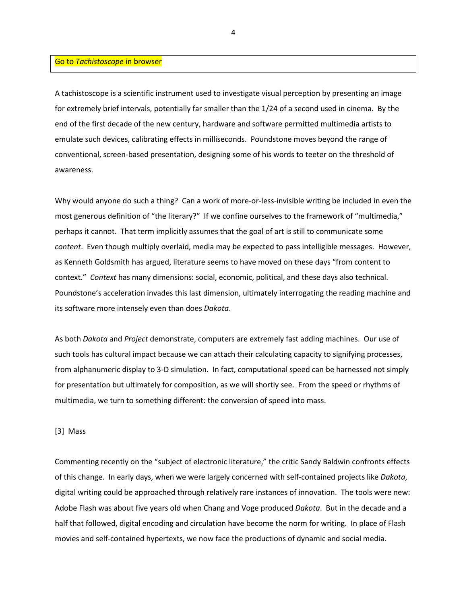### Go to *Tachistoscope* in browser

A tachistoscope is a scientific instrument used to investigate visual perception by presenting an image for extremely brief intervals, potentially far smaller than the 1/24 of a second used in cinema. By the end of the first decade of the new century, hardware and software permitted multimedia artists to emulate such devices, calibrating effects in milliseconds. Poundstone moves beyond the range of conventional, screen-based presentation, designing some of his words to teeter on the threshold of awareness.

Why would anyone do such a thing? Can a work of more-or-less-invisible writing be included in even the most generous definition of "the literary?" If we confine ourselves to the framework of "multimedia," perhaps it cannot. That term implicitly assumes that the goal of art is still to communicate some *content*. Even though multiply overlaid, media may be expected to pass intelligible messages. However, as Kenneth Goldsmith has argued, literature seems to have moved on these days "from content to context." *Context* has many dimensions: social, economic, political, and these days also technical. Poundstone's acceleration invades this last dimension, ultimately interrogating the reading machine and its software more intensely even than does *Dakota*.

As both *Dakota* and *Project* demonstrate, computers are extremely fast adding machines. Our use of such tools has cultural impact because we can attach their calculating capacity to signifying processes, from alphanumeric display to 3-D simulation. In fact, computational speed can be harnessed not simply for presentation but ultimately for composition, as we will shortly see. From the speed or rhythms of multimedia, we turn to something different: the conversion of speed into mass.

#### [3] Mass

Commenting recently on the "subject of electronic literature," the critic Sandy Baldwin confronts effects of this change. In early days, when we were largely concerned with self-contained projects like *Dakota*, digital writing could be approached through relatively rare instances of innovation. The tools were new: Adobe Flash was about five years old when Chang and Voge produced *Dakota*. But in the decade and a half that followed, digital encoding and circulation have become the norm for writing. In place of Flash movies and self-contained hypertexts, we now face the productions of dynamic and social media.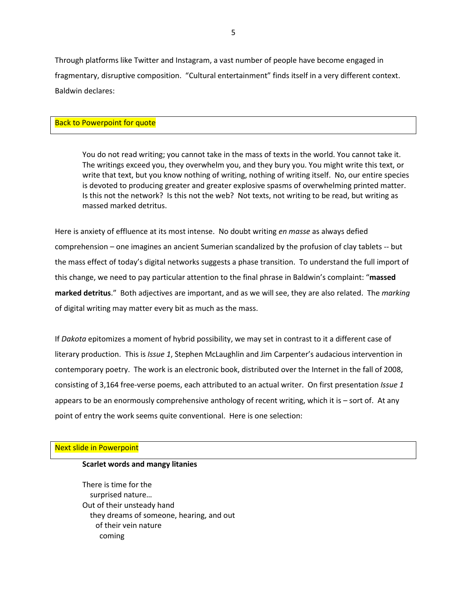Through platforms like Twitter and Instagram, a vast number of people have become engaged in fragmentary, disruptive composition. "Cultural entertainment" finds itself in a very different context. Baldwin declares:

### Back to Powerpoint for quote

You do not read writing; you cannot take in the mass of texts in the world. You cannot take it. The writings exceed you, they overwhelm you, and they bury you. You might write this text, or write that text, but you know nothing of writing, nothing of writing itself. No, our entire species is devoted to producing greater and greater explosive spasms of overwhelming printed matter. Is this not the network? Is this not the web? Not texts, not writing to be read, but writing as massed marked detritus.

Here is anxiety of effluence at its most intense. No doubt writing *en masse* as always defied comprehension – one imagines an ancient Sumerian scandalized by the profusion of clay tablets -- but the mass effect of today's digital networks suggests a phase transition. To understand the full import of this change, we need to pay particular attention to the final phrase in Baldwin's complaint: "**massed marked detritus**." Both adjectives are important, and as we will see, they are also related. The *marking* of digital writing may matter every bit as much as the mass.

If *Dakota* epitomizes a moment of hybrid possibility, we may set in contrast to it a different case of literary production. This is *Issue 1*, Stephen McLaughlin and Jim Carpenter's audacious intervention in contemporary poetry. The work is an electronic book, distributed over the Internet in the fall of 2008, consisting of 3,164 free-verse poems, each attributed to an actual writer. On first presentation *Issue 1* appears to be an enormously comprehensive anthology of recent writing, which it is – sort of. At any point of entry the work seems quite conventional. Here is one selection:

### Next slide in Powerpoint

### **Scarlet words and mangy litanies**

There is time for the surprised nature… Out of their unsteady hand they dreams of someone, hearing, and out of their vein nature coming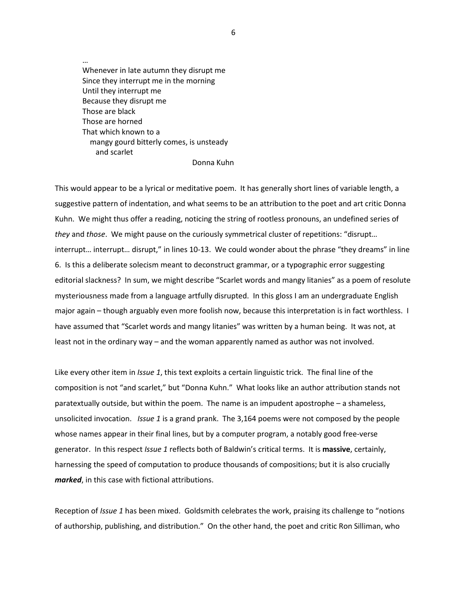Whenever in late autumn they disrupt me Since they interrupt me in the morning Until they interrupt me Because they disrupt me Those are black Those are horned That which known to a mangy gourd bitterly comes, is unsteady and scarlet

…

#### Donna Kuhn

This would appear to be a lyrical or meditative poem. It has generally short lines of variable length, a suggestive pattern of indentation, and what seems to be an attribution to the poet and art critic Donna Kuhn. We might thus offer a reading, noticing the string of rootless pronouns, an undefined series of *they* and *those*. We might pause on the curiously symmetrical cluster of repetitions: "disrupt… interrupt… interrupt… disrupt," in lines 10-13. We could wonder about the phrase "they dreams" in line 6. Is this a deliberate solecism meant to deconstruct grammar, or a typographic error suggesting editorial slackness? In sum, we might describe "Scarlet words and mangy litanies" as a poem of resolute mysteriousness made from a language artfully disrupted. In this gloss I am an undergraduate English major again – though arguably even more foolish now, because this interpretation is in fact worthless. I have assumed that "Scarlet words and mangy litanies" was written by a human being. It was not, at least not in the ordinary way – and the woman apparently named as author was not involved.

Like every other item in *Issue 1*, this text exploits a certain linguistic trick. The final line of the composition is not "and scarlet," but "Donna Kuhn." What looks like an author attribution stands not paratextually outside, but within the poem. The name is an impudent apostrophe – a shameless, unsolicited invocation. *Issue 1* is a grand prank. The 3,164 poems were not composed by the people whose names appear in their final lines, but by a computer program, a notably good free-verse generator. In this respect *Issue 1* reflects both of Baldwin's critical terms. It is **massive**, certainly, harnessing the speed of computation to produce thousands of compositions; but it is also crucially *marked*, in this case with fictional attributions.

Reception of *Issue 1* has been mixed. Goldsmith celebrates the work, praising its challenge to "notions of authorship, publishing, and distribution." On the other hand, the poet and critic Ron Silliman, who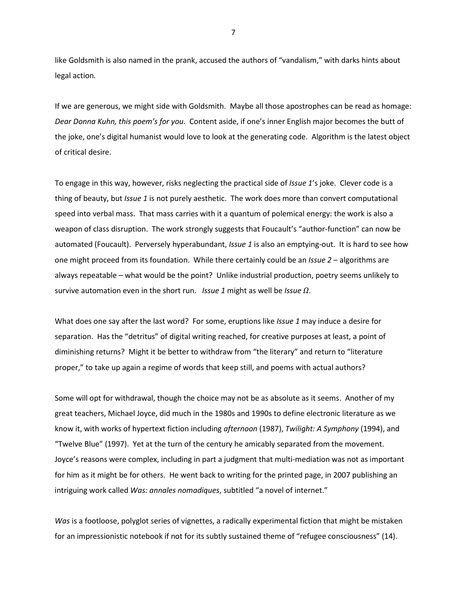like Goldsmith is also named in the prank, accused the authors of "vandalism," with darks hints about legal action*.*

If we are generous, we might side with Goldsmith. Maybe all those apostrophes can be read as homage: *Dear Donna Kuhn, this poem's for you.* Content aside, if one's inner English major becomes the butt of the joke, one's digital humanist would love to look at the generating code. Algorithm is the latest object of critical desire.

To engage in this way, however, risks neglecting the practical side of *Issue 1*'s joke. Clever code is a thing of beauty, but *Issue 1* is not purely aesthetic. The work does more than convert computational speed into verbal mass. That mass carries with it a quantum of polemical energy: the work is also a weapon of class disruption. The work strongly suggests that Foucault's "author-function" can now be automated (Foucault). Perversely hyperabundant, *Issue 1* is also an emptying-out. It is hard to see how one might proceed from its foundation. While there certainly could be an *Issue 2* – algorithms are always repeatable – what would be the point? Unlike industrial production, poetry seems unlikely to survive automation even in the short run. *Issue 1* might as well be *Issue Ω*.

What does one say after the last word? For some, eruptions like *Issue 1* may induce a desire for separation. Has the "detritus" of digital writing reached, for creative purposes at least, a point of diminishing returns? Might it be better to withdraw from "the literary" and return to "literature proper," to take up again a regime of words that keep still, and poems with actual authors?

Some will opt for withdrawal, though the choice may not be as absolute as it seems. Another of my great teachers, Michael Joyce, did much in the 1980s and 1990s to define electronic literature as we know it, with works of hypertext fiction including *afternoon* (1987), *Twilight: A Symphony* (1994), and "Twelve Blue" (1997). Yet at the turn of the century he amicably separated from the movement. Joyce's reasons were complex, including in part a judgment that multi-mediation was not as important for him as it might be for others. He went back to writing for the printed page, in 2007 publishing an intriguing work called *Was: annales nomadiques*, subtitled "a novel of internet."

*Was* is a footloose, polyglot series of vignettes, a radically experimental fiction that might be mistaken for an impressionistic notebook if not for its subtly sustained theme of "refugee consciousness" (14).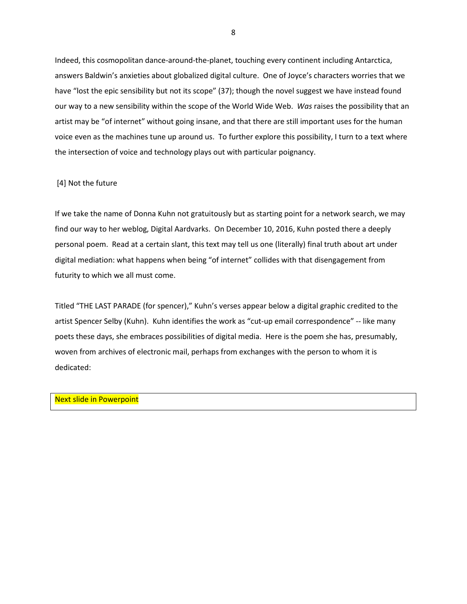Indeed, this cosmopolitan dance-around-the-planet, touching every continent including Antarctica, answers Baldwin's anxieties about globalized digital culture. One of Joyce's characters worries that we have "lost the epic sensibility but not its scope" (37); though the novel suggest we have instead found our way to a new sensibility within the scope of the World Wide Web. *Was* raises the possibility that an artist may be "of internet" without going insane, and that there are still important uses for the human voice even as the machines tune up around us. To further explore this possibility, I turn to a text where the intersection of voice and technology plays out with particular poignancy.

# [4] Not the future

If we take the name of Donna Kuhn not gratuitously but as starting point for a network search, we may find our way to her weblog, Digital Aardvarks. On December 10, 2016, Kuhn posted there a deeply personal poem. Read at a certain slant, this text may tell us one (literally) final truth about art under digital mediation: what happens when being "of internet" collides with that disengagement from futurity to which we all must come.

Titled "THE LAST PARADE (for spencer)," Kuhn's verses appear below a digital graphic credited to the artist Spencer Selby (Kuhn). Kuhn identifies the work as "cut-up email correspondence" -- like many poets these days, she embraces possibilities of digital media. Here is the poem she has, presumably, woven from archives of electronic mail, perhaps from exchanges with the person to whom it is dedicated:

# Next slide in Powerpoint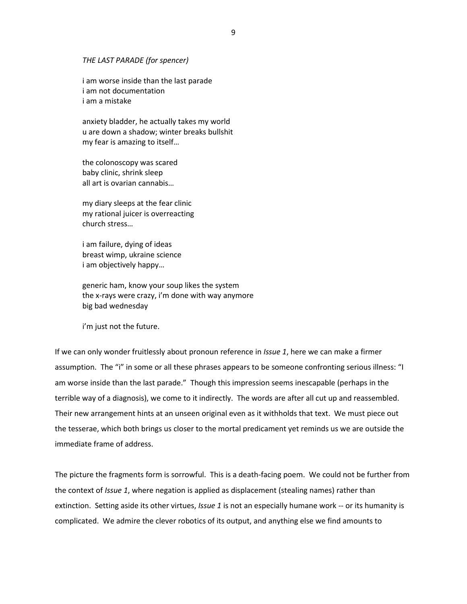*THE LAST PARADE (for spencer)* 

i am worse inside than the last parade i am not documentation i am a mistake

anxiety bladder, he actually takes my world u are down a shadow; winter breaks bullshit my fear is amazing to itself…

the colonoscopy was scared baby clinic, shrink sleep all art is ovarian cannabis…

my diary sleeps at the fear clinic my rational juicer is overreacting church stress…

i am failure, dying of ideas breast wimp, ukraine science i am objectively happy…

generic ham, know your soup likes the system the x-rays were crazy, i'm done with way anymore big bad wednesday

i'm just not the future.

If we can only wonder fruitlessly about pronoun reference in *Issue 1*, here we can make a firmer assumption. The "i" in some or all these phrases appears to be someone confronting serious illness: "I am worse inside than the last parade." Though this impression seems inescapable (perhaps in the terrible way of a diagnosis), we come to it indirectly. The words are after all cut up and reassembled. Their new arrangement hints at an unseen original even as it withholds that text. We must piece out the tesserae, which both brings us closer to the mortal predicament yet reminds us we are outside the immediate frame of address.

The picture the fragments form is sorrowful. This is a death-facing poem. We could not be further from the context of *Issue 1*, where negation is applied as displacement (stealing names) rather than extinction. Setting aside its other virtues, *Issue 1* is not an especially humane work -- or its humanity is complicated. We admire the clever robotics of its output, and anything else we find amounts to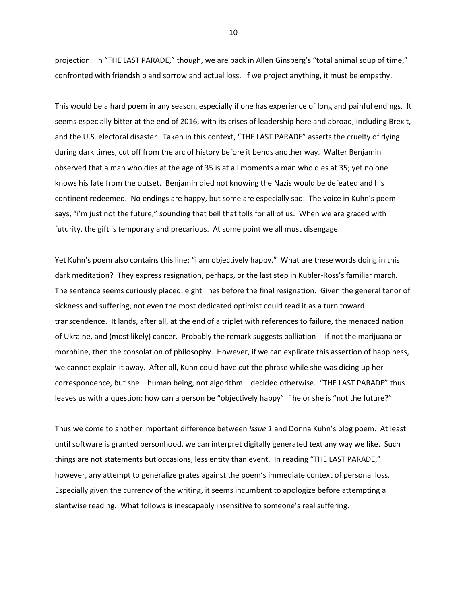projection. In "THE LAST PARADE," though, we are back in Allen Ginsberg's "total animal soup of time," confronted with friendship and sorrow and actual loss. If we project anything, it must be empathy.

This would be a hard poem in any season, especially if one has experience of long and painful endings. It seems especially bitter at the end of 2016, with its crises of leadership here and abroad, including Brexit, and the U.S. electoral disaster. Taken in this context, "THE LAST PARADE" asserts the cruelty of dying during dark times, cut off from the arc of history before it bends another way. Walter Benjamin observed that a man who dies at the age of 35 is at all moments a man who dies at 35; yet no one knows his fate from the outset. Benjamin died not knowing the Nazis would be defeated and his continent redeemed. No endings are happy, but some are especially sad. The voice in Kuhn's poem says, "i'm just not the future," sounding that bell that tolls for all of us. When we are graced with futurity, the gift is temporary and precarious. At some point we all must disengage.

Yet Kuhn's poem also contains this line: "i am objectively happy." What are these words doing in this dark meditation? They express resignation, perhaps, or the last step in Kubler-Ross's familiar march. The sentence seems curiously placed, eight lines before the final resignation. Given the general tenor of sickness and suffering, not even the most dedicated optimist could read it as a turn toward transcendence. It lands, after all, at the end of a triplet with references to failure, the menaced nation of Ukraine, and (most likely) cancer. Probably the remark suggests palliation -- if not the marijuana or morphine, then the consolation of philosophy. However, if we can explicate this assertion of happiness, we cannot explain it away. After all, Kuhn could have cut the phrase while she was dicing up her correspondence, but she – human being, not algorithm – decided otherwise. "THE LAST PARADE" thus leaves us with a question: how can a person be "objectively happy" if he or she is "not the future?"

Thus we come to another important difference between *Issue 1* and Donna Kuhn's blog poem. At least until software is granted personhood, we can interpret digitally generated text any way we like. Such things are not statements but occasions, less entity than event. In reading "THE LAST PARADE," however, any attempt to generalize grates against the poem's immediate context of personal loss. Especially given the currency of the writing, it seems incumbent to apologize before attempting a slantwise reading. What follows is inescapably insensitive to someone's real suffering.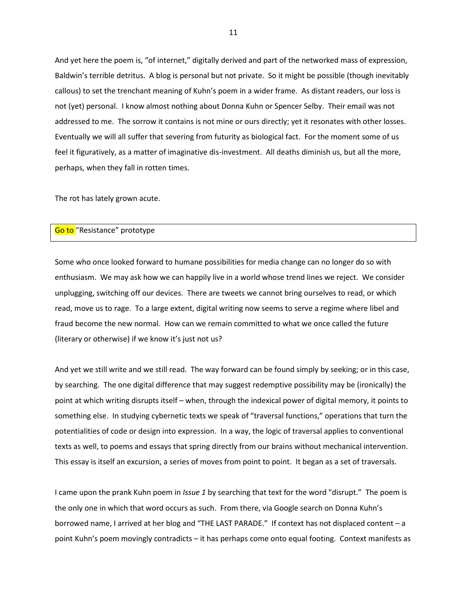And yet here the poem is, "of internet," digitally derived and part of the networked mass of expression, Baldwin's terrible detritus. A blog is personal but not private. So it might be possible (though inevitably callous) to set the trenchant meaning of Kuhn's poem in a wider frame. As distant readers, our loss is not (yet) personal. I know almost nothing about Donna Kuhn or Spencer Selby. Their email was not addressed to me. The sorrow it contains is not mine or ours directly; yet it resonates with other losses. Eventually we will all suffer that severing from futurity as biological fact. For the moment some of us feel it figuratively, as a matter of imaginative dis-investment. All deaths diminish us, but all the more, perhaps, when they fall in rotten times.

The rot has lately grown acute.

# Go to "Resistance" prototype

Some who once looked forward to humane possibilities for media change can no longer do so with enthusiasm. We may ask how we can happily live in a world whose trend lines we reject. We consider unplugging, switching off our devices. There are tweets we cannot bring ourselves to read, or which read, move us to rage. To a large extent, digital writing now seems to serve a regime where libel and fraud become the new normal. How can we remain committed to what we once called the future (literary or otherwise) if we know it's just not us?

And yet we still write and we still read. The way forward can be found simply by seeking; or in this case, by searching. The one digital difference that may suggest redemptive possibility may be (ironically) the point at which writing disrupts itself – when, through the indexical power of digital memory, it points to something else. In studying cybernetic texts we speak of "traversal functions," operations that turn the potentialities of code or design into expression. In a way, the logic of traversal applies to conventional texts as well, to poems and essays that spring directly from our brains without mechanical intervention. This essay is itself an excursion, a series of moves from point to point. It began as a set of traversals.

I came upon the prank Kuhn poem in *Issue 1* by searching that text for the word "disrupt." The poem is the only one in which that word occurs as such. From there, via Google search on Donna Kuhn's borrowed name, I arrived at her blog and "THE LAST PARADE." If context has not displaced content – a point Kuhn's poem movingly contradicts – it has perhaps come onto equal footing. Context manifests as